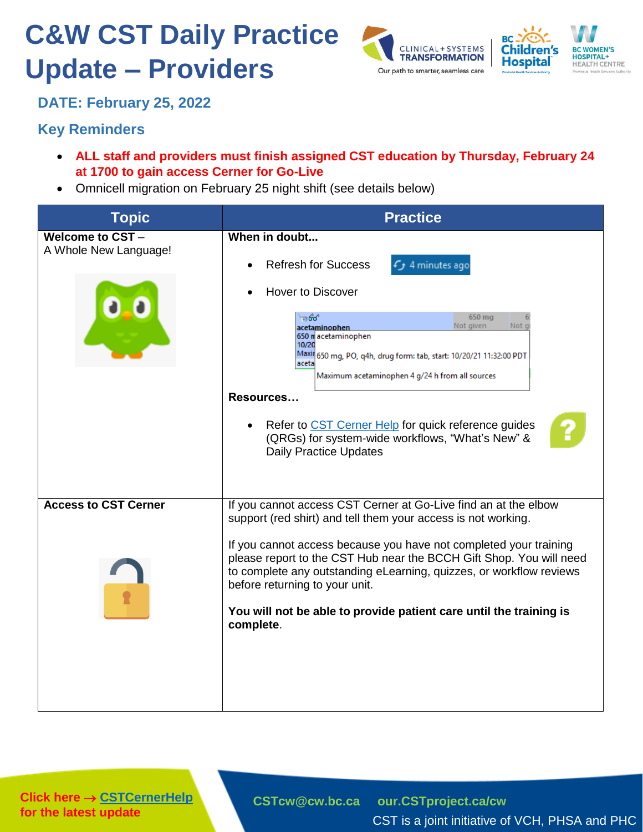## **C&W CST Daily Practice Update – Providers**





**DATE: February 25, 2022**

## **Key Reminders**

- **ALL staff and providers must finish assigned CST education by Thursday, February 24 at 1700 to gain access Cerner for Go-Live**
- Omnicell migration on February 25 night shift (see details below)

| <b>Topic</b>                                    | <b>Practice</b>                                                                                                                                                                                                                                                                                                                                                                                                                                                               |
|-------------------------------------------------|-------------------------------------------------------------------------------------------------------------------------------------------------------------------------------------------------------------------------------------------------------------------------------------------------------------------------------------------------------------------------------------------------------------------------------------------------------------------------------|
| <b>Welcome to CST-</b><br>A Whole New Language! | When in doubt<br><b>Refresh for Success</b><br>4 minutes ago<br><b>Hover to Discover</b><br>මේ ම<br>650 mg<br>Not given<br>Not gi<br>acetaminophen<br>650 macetaminophen<br>10/20<br>Maxil 650 mg, PO, q4h, drug form: tab, start: 10/20/21 11:32:00 PDT<br>aceta<br>Maximum acetaminophen 4 g/24 h from all sources<br>Resources<br>Refer to CST Cerner Help for quick reference guides<br>(QRGs) for system-wide workflows, "What's New" &<br><b>Daily Practice Updates</b> |
| <b>Access to CST Cerner</b>                     | If you cannot access CST Cerner at Go-Live find an at the elbow<br>support (red shirt) and tell them your access is not working.<br>If you cannot access because you have not completed your training<br>please report to the CST Hub near the BCCH Gift Shop. You will need<br>to complete any outstanding eLearning, quizzes, or workflow reviews<br>before returning to your unit.<br>You will not be able to provide patient care until the training is<br>complete.      |

**Click here → [CSTCernerHelp](http://cstcernerhelp.healthcarebc.ca/#t%3DWhats_New%2FWhat_s_New.htm=&t=CST_Cerner_Help.htm) for the latest update**

**[CSTcw@cw.bc.ca](mailto:CSTcw@cw.bc.ca) [our.CSTproject.ca/cw](https://transformationcentral.vch.ca/cw)**

CST is a joint initiative of VCH, PHSA and PHC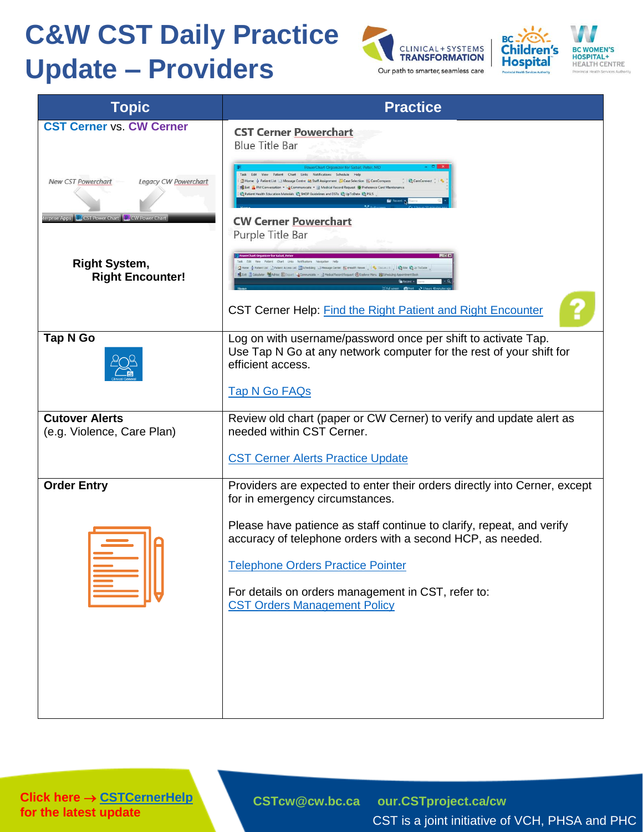## **C&W CST Daily Practice Update – Providers**





**BC WOMEN'S<br>HOSPITAL+**<br>HEALTH CENTRE

| <b>Topic</b>                                                  | <b>Practice</b>                                                                                                                                                                                                                                                                                                   |
|---------------------------------------------------------------|-------------------------------------------------------------------------------------------------------------------------------------------------------------------------------------------------------------------------------------------------------------------------------------------------------------------|
| <b>CST Cerner vs. CW Cerner</b>                               | <b>CST Cerner Powerchart</b><br><b>Blue Title Bar</b>                                                                                                                                                                                                                                                             |
| Legacy CW Powerchart<br>New CST Powerchart                    | View Patient Chart Links Notifications Schedule Help<br>SHome & Patient List 3 Message Centre 55 Staff Assignment Case Selection # CareCompas<br>BM Conversation - Communicate - Medical Record Request @ Preference Card Main<br>Patient Health Education Materials & SHOP Guidelines and DSTs & UpToDate & PSLS |
| erprise Apps <b>C</b> CST Power Chart <b>P</b> CW Power Chart | <b>CW Cerner Powerchart</b><br>Purple Title Bar                                                                                                                                                                                                                                                                   |
| <b>Right System,</b><br><b>Right Encounter!</b>               | Chart Links Notifications Navigation Help<br>ent List   Patient Access List   Scheduleg   Message Center   Ferealth Vewer     6 Docum. 0     2 Ste   0 to Date  <br>Sculator MAdrice Council La Communicate . J Medical Record Request @ Explorer Menu @ Schedulin                                                |
|                                                               | CST Cerner Help: Find the Right Patient and Right Encounter                                                                                                                                                                                                                                                       |
| <b>Tap N Go</b>                                               | Log on with username/password once per shift to activate Tap.<br>Use Tap N Go at any network computer for the rest of your shift for<br>efficient access.                                                                                                                                                         |
|                                                               | <b>Tap N Go FAQs</b>                                                                                                                                                                                                                                                                                              |
| <b>Cutover Alerts</b><br>(e.g. Violence, Care Plan)           | Review old chart (paper or CW Cerner) to verify and update alert as<br>needed within CST Cerner.                                                                                                                                                                                                                  |
|                                                               | <b>CST Cerner Alerts Practice Update</b>                                                                                                                                                                                                                                                                          |
| <b>Order Entry</b>                                            | Providers are expected to enter their orders directly into Cerner, except<br>for in emergency circumstances.                                                                                                                                                                                                      |
|                                                               | Please have patience as staff continue to clarify, repeat, and verify<br>accuracy of telephone orders with a second HCP, as needed.                                                                                                                                                                               |
|                                                               | <b>Telephone Orders Practice Pointer</b>                                                                                                                                                                                                                                                                          |
|                                                               | For details on orders management in CST, refer to:<br><b>CST Orders Management Policy</b>                                                                                                                                                                                                                         |
|                                                               |                                                                                                                                                                                                                                                                                                                   |
|                                                               |                                                                                                                                                                                                                                                                                                                   |
|                                                               |                                                                                                                                                                                                                                                                                                                   |

**Click here → [CSTCernerHelp](http://cstcernerhelp.healthcarebc.ca/#t%3DWhats_New%2FWhat_s_New.htm=&t=CST_Cerner_Help.htm) for the latest update**

**[CSTcw@cw.bc.ca](mailto:CSTcw@cw.bc.ca) [our.CSTproject.ca/cw](https://transformationcentral.vch.ca/cw)**

CST is a joint initiative of VCH, PHSA and PHC